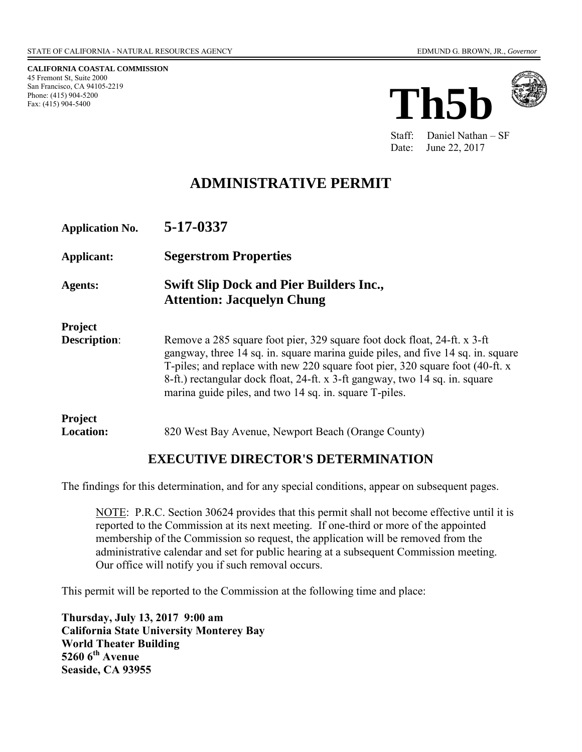**CALIFORNIA COASTAL COMMISSION**  45 Fremont St, Suite 2000 San Francisco, CA 94105-2219 Phone: (415) 904-5200 Fax: (415) 904-5400





Staff: Daniel Nathan – SF Date: June 22, 2017

## **ADMINISTRATIVE PERMIT**

| <b>Application No.</b>                | 5-17-0337                                                                                                                                                                                                                                                                                                                                                                             |
|---------------------------------------|---------------------------------------------------------------------------------------------------------------------------------------------------------------------------------------------------------------------------------------------------------------------------------------------------------------------------------------------------------------------------------------|
| Applicant:                            | <b>Segerstrom Properties</b>                                                                                                                                                                                                                                                                                                                                                          |
| <b>Agents:</b>                        | <b>Swift Slip Dock and Pier Builders Inc.,</b><br><b>Attention: Jacquelyn Chung</b>                                                                                                                                                                                                                                                                                                   |
| <b>Project</b><br><b>Description:</b> | Remove a 285 square foot pier, 329 square foot dock float, 24-ft. x 3-ft<br>gangway, three 14 sq. in. square marina guide piles, and five 14 sq. in. square<br>T-piles; and replace with new 220 square foot pier, 320 square foot (40-ft. x<br>8-ft.) rectangular dock float, 24-ft. x 3-ft gangway, two 14 sq. in. square<br>marina guide piles, and two 14 sq. in. square T-piles. |
| <b>Project</b><br><b>Location:</b>    | 820 West Bay Avenue, Newport Beach (Orange County)                                                                                                                                                                                                                                                                                                                                    |

### **EXECUTIVE DIRECTOR'S DETERMINATION**

The findings for this determination, and for any special conditions, appear on subsequent pages.

NOTE: P.R.C. Section 30624 provides that this permit shall not become effective until it is reported to the Commission at its next meeting. If one-third or more of the appointed membership of the Commission so request, the application will be removed from the administrative calendar and set for public hearing at a subsequent Commission meeting. Our office will notify you if such removal occurs.

This permit will be reported to the Commission at the following time and place:

**Thursday, July 13, 2017 9:00 am California State University Monterey Bay World Theater Building 5260 6th Avenue Seaside, CA 93955**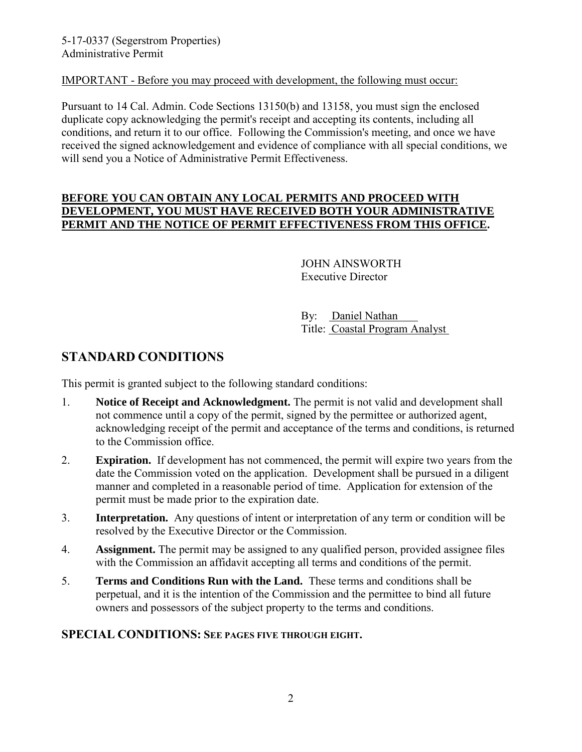#### IMPORTANT - Before you may proceed with development, the following must occur:

Pursuant to 14 Cal. Admin. Code Sections 13150(b) and 13158, you must sign the enclosed duplicate copy acknowledging the permit's receipt and accepting its contents, including all conditions, and return it to our office. Following the Commission's meeting, and once we have received the signed acknowledgement and evidence of compliance with all special conditions, we will send you a Notice of Administrative Permit Effectiveness.

#### **BEFORE YOU CAN OBTAIN ANY LOCAL PERMITS AND PROCEED WITH DEVELOPMENT, YOU MUST HAVE RECEIVED BOTH YOUR ADMINISTRATIVE PERMIT AND THE NOTICE OF PERMIT EFFECTIVENESS FROM THIS OFFICE.**

 JOHN AINSWORTH Executive Director

 By: Daniel Nathan Title: Coastal Program Analyst

# **STANDARD CONDITIONS**

This permit is granted subject to the following standard conditions:

- 1. **Notice of Receipt and Acknowledgment.** The permit is not valid and development shall not commence until a copy of the permit, signed by the permittee or authorized agent, acknowledging receipt of the permit and acceptance of the terms and conditions, is returned to the Commission office.
- 2. **Expiration.** If development has not commenced, the permit will expire two years from the date the Commission voted on the application. Development shall be pursued in a diligent manner and completed in a reasonable period of time. Application for extension of the permit must be made prior to the expiration date.
- 3. **Interpretation.** Any questions of intent or interpretation of any term or condition will be resolved by the Executive Director or the Commission.
- 4. **Assignment.** The permit may be assigned to any qualified person, provided assignee files with the Commission an affidavit accepting all terms and conditions of the permit.
- 5. **Terms and Conditions Run with the Land.** These terms and conditions shall be perpetual, and it is the intention of the Commission and the permittee to bind all future owners and possessors of the subject property to the terms and conditions.

### **SPECIAL CONDITIONS: SEE PAGES FIVE THROUGH EIGHT.**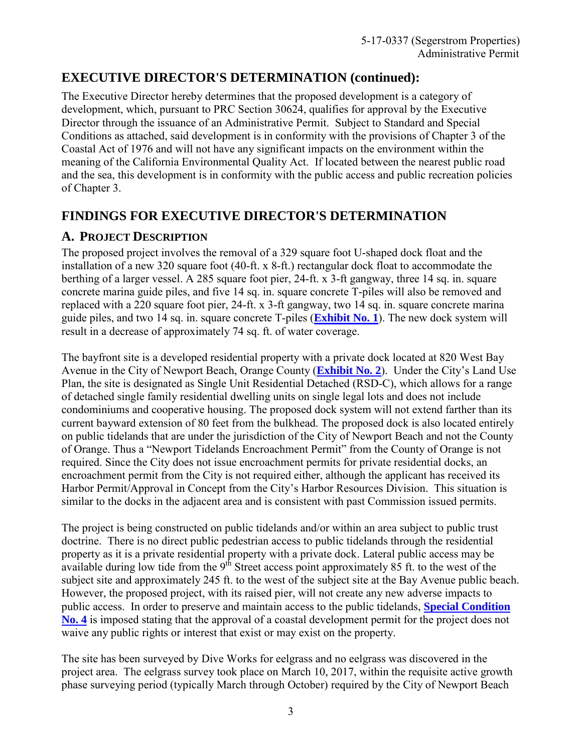# **EXECUTIVE DIRECTOR'S DETERMINATION (continued):**

The Executive Director hereby determines that the proposed development is a category of development, which, pursuant to PRC Section 30624, qualifies for approval by the Executive Director through the issuance of an Administrative Permit. Subject to Standard and Special Conditions as attached, said development is in conformity with the provisions of Chapter 3 of the Coastal Act of 1976 and will not have any significant impacts on the environment within the meaning of the California Environmental Quality Act. If located between the nearest public road and the sea, this development is in conformity with the public access and public recreation policies of Chapter 3.

# **FINDINGS FOR EXECUTIVE DIRECTOR'S DETERMINATION**

### **A. PROJECT DESCRIPTION**

The proposed project involves the removal of a 329 square foot U-shaped dock float and the installation of a new 320 square foot (40-ft. x 8-ft.) rectangular dock float to accommodate the berthing of a larger vessel. A 285 square foot pier, 24-ft. x 3-ft gangway, three 14 sq. in. square concrete marina guide piles, and five 14 sq. in. square concrete T-piles will also be removed and replaced with a 220 square foot pier, 24-ft. x 3-ft gangway, two 14 sq. in. square concrete marina guide piles, and two 14 sq. in. square concrete T-piles (**[Exhibit No. 1](https://documents.coastal.ca.gov/reports/2017/7/th5b/th5b-7-2017-exhibits.pdf)**). The new dock system will result in a decrease of approximately 74 sq. ft. of water coverage.

The bayfront site is a developed residential property with a private dock located at 820 West Bay Avenue in the City of Newport Beach, Orange County (**[Exhibit No. 2](https://documents.coastal.ca.gov/reports/2017/7/th5b/th5b-7-2017-exhibits.pdf)**). Under the City's Land Use Plan, the site is designated as Single Unit Residential Detached (RSD-C), which allows for a range of detached single family residential dwelling units on single legal lots and does not include condominiums and cooperative housing. The proposed dock system will not extend farther than its current bayward extension of 80 feet from the bulkhead. The proposed dock is also located entirely on public tidelands that are under the jurisdiction of the City of Newport Beach and not the County of Orange. Thus a "Newport Tidelands Encroachment Permit" from the County of Orange is not required. Since the City does not issue encroachment permits for private residential docks, an encroachment permit from the City is not required either, although the applicant has received its Harbor Permit/Approval in Concept from the City's Harbor Resources Division. This situation is similar to the docks in the adjacent area and is consistent with past Commission issued permits.

The project is being constructed on public tidelands and/or within an area subject to public trust doctrine. There is no direct public pedestrian access to public tidelands through the residential property as it is a private residential property with a private dock. Lateral public access may be available during low tide from the 9<sup>th</sup> Street access point approximately 85 ft. to the west of the subject site and approximately 245 ft. to the west of the subject site at the Bay Avenue public beach. However, the proposed project, with its raised pier, will not create any new adverse impacts to public access. In order to preserve and maintain access to the public tidelands, **[Special Condition](#page-7-0)  [No. 4](#page-7-0)** is imposed stating that the approval of a coastal development permit for the project does not waive any public rights or interest that exist or may exist on the property.

The site has been surveyed by Dive Works for eelgrass and no eelgrass was discovered in the project area. The eelgrass survey took place on March 10, 2017, within the requisite active growth phase surveying period (typically March through October) required by the City of Newport Beach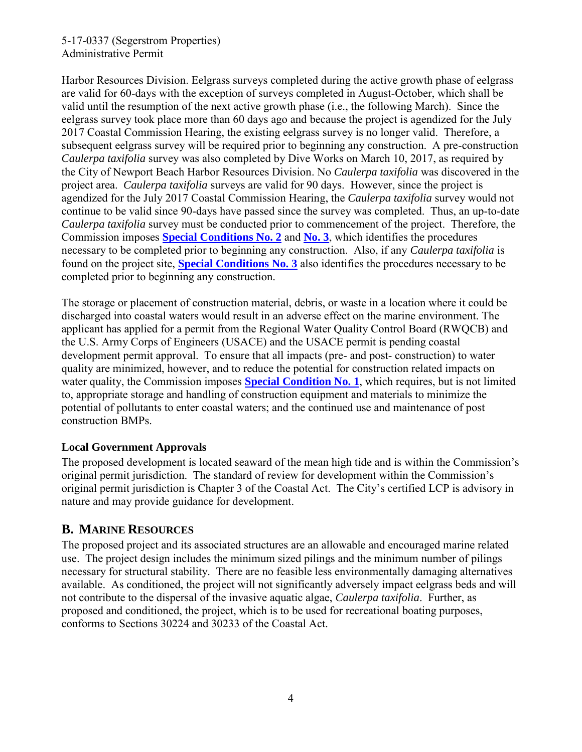#### 5-17-0337 (Segerstrom Properties) Administrative Permit

Harbor Resources Division. Eelgrass surveys completed during the active growth phase of eelgrass are valid for 60-days with the exception of surveys completed in August-October, which shall be valid until the resumption of the next active growth phase (i.e., the following March). Since the eelgrass survey took place more than 60 days ago and because the project is agendized for the July 2017 Coastal Commission Hearing, the existing eelgrass survey is no longer valid. Therefore, a subsequent eelgrass survey will be required prior to beginning any construction. A pre-construction *Caulerpa taxifolia* survey was also completed by Dive Works on March 10, 2017, as required by the City of Newport Beach Harbor Resources Division. No *Caulerpa taxifolia* was discovered in the project area. *Caulerpa taxifolia* surveys are valid for 90 days. However, since the project is agendized for the July 2017 Coastal Commission Hearing, the *Caulerpa taxifolia* survey would not continue to be valid since 90-days have passed since the survey was completed. Thus, an up-to-date *Caulerpa taxifolia* survey must be conducted prior to commencement of the project. Therefore, the Commission imposes **[Special Conditions No. 2](#page-6-0)** and **[No. 3](#page-7-1)**, which identifies the procedures necessary to be completed prior to beginning any construction. Also, if any *Caulerpa taxifolia* is found on the project site, **[Special Conditions No. 3](#page-7-1)** also identifies the procedures necessary to be completed prior to beginning any construction.

The storage or placement of construction material, debris, or waste in a location where it could be discharged into coastal waters would result in an adverse effect on the marine environment. The applicant has applied for a permit from the Regional Water Quality Control Board (RWQCB) and the U.S. Army Corps of Engineers (USACE) and the USACE permit is pending coastal development permit approval. To ensure that all impacts (pre- and post- construction) to water quality are minimized, however, and to reduce the potential for construction related impacts on water quality, the Commission imposes **[Special Condition No. 1](#page-4-0)**, which requires, but is not limited to, appropriate storage and handling of construction equipment and materials to minimize the potential of pollutants to enter coastal waters; and the continued use and maintenance of post construction BMPs.

### **Local Government Approvals**

The proposed development is located seaward of the mean high tide and is within the Commission's original permit jurisdiction. The standard of review for development within the Commission's original permit jurisdiction is Chapter 3 of the Coastal Act. The City's certified LCP is advisory in nature and may provide guidance for development.

## **B. MARINE RESOURCES**

The proposed project and its associated structures are an allowable and encouraged marine related use. The project design includes the minimum sized pilings and the minimum number of pilings necessary for structural stability. There are no feasible less environmentally damaging alternatives available. As conditioned, the project will not significantly adversely impact eelgrass beds and will not contribute to the dispersal of the invasive aquatic algae, *Caulerpa taxifolia*. Further, as proposed and conditioned, the project, which is to be used for recreational boating purposes, conforms to Sections 30224 and 30233 of the Coastal Act.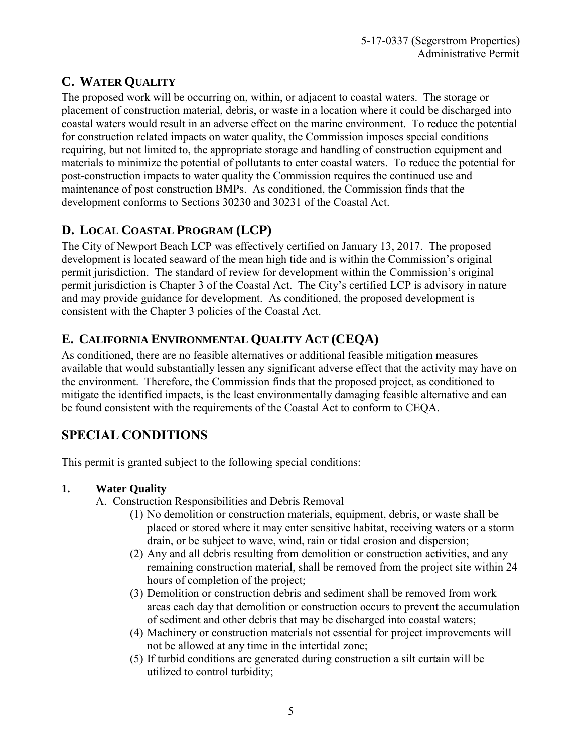# **C. WATER QUALITY**

The proposed work will be occurring on, within, or adjacent to coastal waters. The storage or placement of construction material, debris, or waste in a location where it could be discharged into coastal waters would result in an adverse effect on the marine environment. To reduce the potential for construction related impacts on water quality, the Commission imposes special conditions requiring, but not limited to, the appropriate storage and handling of construction equipment and materials to minimize the potential of pollutants to enter coastal waters. To reduce the potential for post-construction impacts to water quality the Commission requires the continued use and maintenance of post construction BMPs. As conditioned, the Commission finds that the development conforms to Sections 30230 and 30231 of the Coastal Act.

# **D. LOCAL COASTAL PROGRAM (LCP)**

The City of Newport Beach LCP was effectively certified on January 13, 2017. The proposed development is located seaward of the mean high tide and is within the Commission's original permit jurisdiction. The standard of review for development within the Commission's original permit jurisdiction is Chapter 3 of the Coastal Act. The City's certified LCP is advisory in nature and may provide guidance for development. As conditioned, the proposed development is consistent with the Chapter 3 policies of the Coastal Act.

# **E. CALIFORNIA ENVIRONMENTAL QUALITY ACT (CEQA)**

As conditioned, there are no feasible alternatives or additional feasible mitigation measures available that would substantially lessen any significant adverse effect that the activity may have on the environment. Therefore, the Commission finds that the proposed project, as conditioned to mitigate the identified impacts, is the least environmentally damaging feasible alternative and can be found consistent with the requirements of the Coastal Act to conform to CEQA.

# **SPECIAL CONDITIONS**

This permit is granted subject to the following special conditions:

### <span id="page-4-0"></span>**1. Water Quality**

- A. Construction Responsibilities and Debris Removal
	- (1) No demolition or construction materials, equipment, debris, or waste shall be placed or stored where it may enter sensitive habitat, receiving waters or a storm drain, or be subject to wave, wind, rain or tidal erosion and dispersion;
	- (2) Any and all debris resulting from demolition or construction activities, and any remaining construction material, shall be removed from the project site within 24 hours of completion of the project;
	- (3) Demolition or construction debris and sediment shall be removed from work areas each day that demolition or construction occurs to prevent the accumulation of sediment and other debris that may be discharged into coastal waters;
	- (4) Machinery or construction materials not essential for project improvements will not be allowed at any time in the intertidal zone;
	- (5) If turbid conditions are generated during construction a silt curtain will be utilized to control turbidity;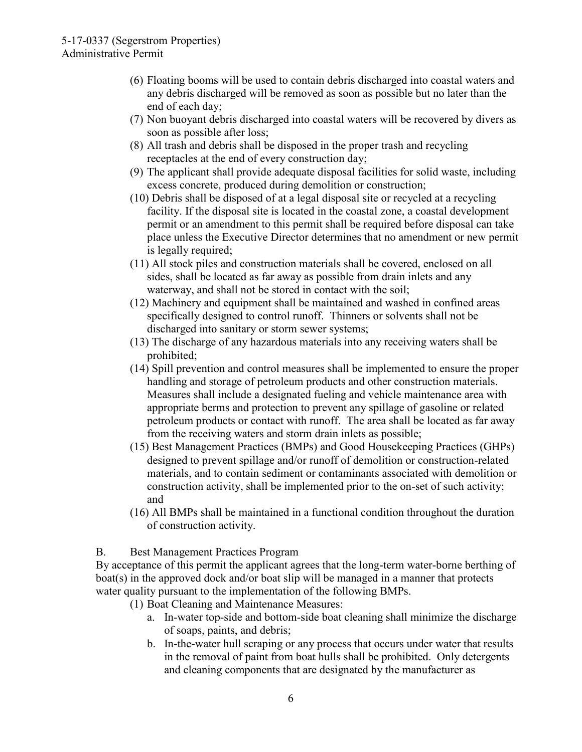- (6) Floating booms will be used to contain debris discharged into coastal waters and any debris discharged will be removed as soon as possible but no later than the end of each day;
- (7) Non buoyant debris discharged into coastal waters will be recovered by divers as soon as possible after loss;
- (8) All trash and debris shall be disposed in the proper trash and recycling receptacles at the end of every construction day;
- (9) The applicant shall provide adequate disposal facilities for solid waste, including excess concrete, produced during demolition or construction;
- (10) Debris shall be disposed of at a legal disposal site or recycled at a recycling facility. If the disposal site is located in the coastal zone, a coastal development permit or an amendment to this permit shall be required before disposal can take place unless the Executive Director determines that no amendment or new permit is legally required;
- (11) All stock piles and construction materials shall be covered, enclosed on all sides, shall be located as far away as possible from drain inlets and any waterway, and shall not be stored in contact with the soil;
- (12) Machinery and equipment shall be maintained and washed in confined areas specifically designed to control runoff. Thinners or solvents shall not be discharged into sanitary or storm sewer systems;
- (13) The discharge of any hazardous materials into any receiving waters shall be prohibited;
- (14) Spill prevention and control measures shall be implemented to ensure the proper handling and storage of petroleum products and other construction materials. Measures shall include a designated fueling and vehicle maintenance area with appropriate berms and protection to prevent any spillage of gasoline or related petroleum products or contact with runoff. The area shall be located as far away from the receiving waters and storm drain inlets as possible;
- (15) Best Management Practices (BMPs) and Good Housekeeping Practices (GHPs) designed to prevent spillage and/or runoff of demolition or construction-related materials, and to contain sediment or contaminants associated with demolition or construction activity, shall be implemented prior to the on-set of such activity; and
- (16) All BMPs shall be maintained in a functional condition throughout the duration of construction activity.

B. Best Management Practices Program

By acceptance of this permit the applicant agrees that the long-term water-borne berthing of boat(s) in the approved dock and/or boat slip will be managed in a manner that protects water quality pursuant to the implementation of the following BMPs.

- (1) Boat Cleaning and Maintenance Measures:
	- a. In-water top-side and bottom-side boat cleaning shall minimize the discharge of soaps, paints, and debris;
	- b. In-the-water hull scraping or any process that occurs under water that results in the removal of paint from boat hulls shall be prohibited. Only detergents and cleaning components that are designated by the manufacturer as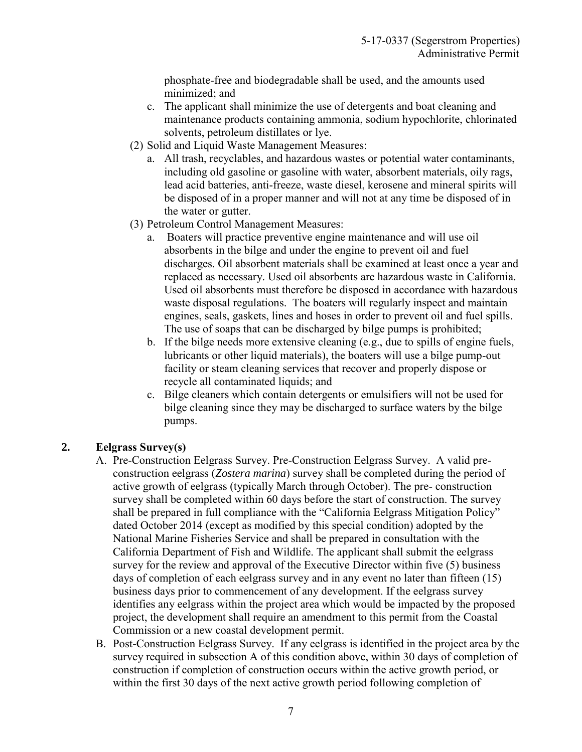phosphate-free and biodegradable shall be used, and the amounts used minimized; and

- c. The applicant shall minimize the use of detergents and boat cleaning and maintenance products containing ammonia, sodium hypochlorite, chlorinated solvents, petroleum distillates or lye.
- (2) Solid and Liquid Waste Management Measures:
	- a. All trash, recyclables, and hazardous wastes or potential water contaminants, including old gasoline or gasoline with water, absorbent materials, oily rags, lead acid batteries, anti-freeze, waste diesel, kerosene and mineral spirits will be disposed of in a proper manner and will not at any time be disposed of in the water or gutter.
- (3) Petroleum Control Management Measures:
	- a. Boaters will practice preventive engine maintenance and will use oil absorbents in the bilge and under the engine to prevent oil and fuel discharges. Oil absorbent materials shall be examined at least once a year and replaced as necessary. Used oil absorbents are hazardous waste in California. Used oil absorbents must therefore be disposed in accordance with hazardous waste disposal regulations. The boaters will regularly inspect and maintain engines, seals, gaskets, lines and hoses in order to prevent oil and fuel spills. The use of soaps that can be discharged by bilge pumps is prohibited;
	- b. If the bilge needs more extensive cleaning (e.g., due to spills of engine fuels, lubricants or other liquid materials), the boaters will use a bilge pump-out facility or steam cleaning services that recover and properly dispose or recycle all contaminated liquids; and
	- c. Bilge cleaners which contain detergents or emulsifiers will not be used for bilge cleaning since they may be discharged to surface waters by the bilge pumps.

#### <span id="page-6-0"></span>**2. Eelgrass Survey(s)**

- A. Pre-Construction Eelgrass Survey. Pre-Construction Eelgrass Survey. A valid preconstruction eelgrass (*Zostera marina*) survey shall be completed during the period of active growth of eelgrass (typically March through October). The pre- construction survey shall be completed within 60 days before the start of construction. The survey shall be prepared in full compliance with the "California Eelgrass Mitigation Policy" dated October 2014 (except as modified by this special condition) adopted by the National Marine Fisheries Service and shall be prepared in consultation with the California Department of Fish and Wildlife. The applicant shall submit the eelgrass survey for the review and approval of the Executive Director within five (5) business days of completion of each eelgrass survey and in any event no later than fifteen (15) business days prior to commencement of any development. If the eelgrass survey identifies any eelgrass within the project area which would be impacted by the proposed project, the development shall require an amendment to this permit from the Coastal Commission or a new coastal development permit.
- B. Post-Construction Eelgrass Survey. If any eelgrass is identified in the project area by the survey required in subsection A of this condition above, within 30 days of completion of construction if completion of construction occurs within the active growth period, or within the first 30 days of the next active growth period following completion of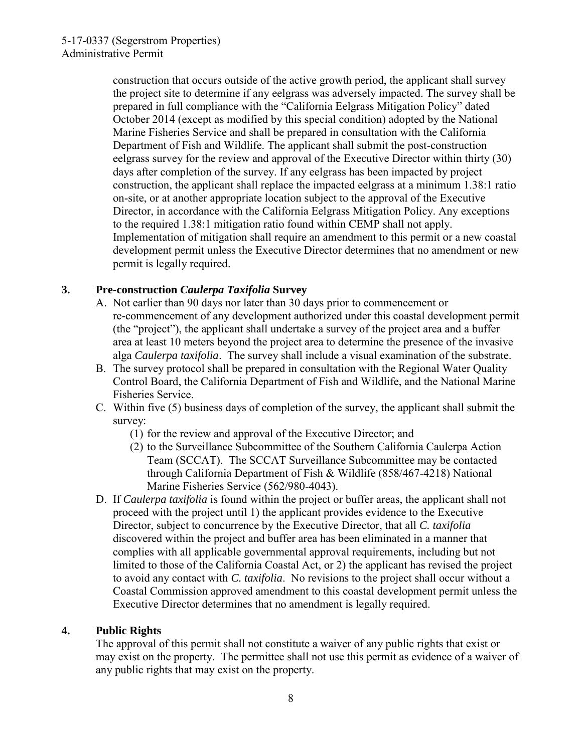construction that occurs outside of the active growth period, the applicant shall survey the project site to determine if any eelgrass was adversely impacted. The survey shall be prepared in full compliance with the "California Eelgrass Mitigation Policy" dated October 2014 (except as modified by this special condition) adopted by the National Marine Fisheries Service and shall be prepared in consultation with the California Department of Fish and Wildlife. The applicant shall submit the post-construction eelgrass survey for the review and approval of the Executive Director within thirty (30) days after completion of the survey. If any eelgrass has been impacted by project construction, the applicant shall replace the impacted eelgrass at a minimum 1.38:1 ratio on-site, or at another appropriate location subject to the approval of the Executive Director, in accordance with the California Eelgrass Mitigation Policy. Any exceptions to the required 1.38:1 mitigation ratio found within CEMP shall not apply. Implementation of mitigation shall require an amendment to this permit or a new coastal development permit unless the Executive Director determines that no amendment or new permit is legally required.

### <span id="page-7-1"></span>**3. Pre-construction** *Caulerpa Taxifolia* **Survey**

- A. Not earlier than 90 days nor later than 30 days prior to commencement or re-commencement of any development authorized under this coastal development permit (the "project"), the applicant shall undertake a survey of the project area and a buffer area at least 10 meters beyond the project area to determine the presence of the invasive alga *Caulerpa taxifolia*. The survey shall include a visual examination of the substrate.
- B. The survey protocol shall be prepared in consultation with the Regional Water Quality Control Board, the California Department of Fish and Wildlife, and the National Marine Fisheries Service.
- C. Within five (5) business days of completion of the survey, the applicant shall submit the survey:
	- (1) for the review and approval of the Executive Director; and
	- (2) to the Surveillance Subcommittee of the Southern California Caulerpa Action Team (SCCAT). The SCCAT Surveillance Subcommittee may be contacted through California Department of Fish & Wildlife (858/467-4218) National Marine Fisheries Service (562/980-4043).
- D. If *Caulerpa taxifolia* is found within the project or buffer areas, the applicant shall not proceed with the project until 1) the applicant provides evidence to the Executive Director, subject to concurrence by the Executive Director, that all *C. taxifolia* discovered within the project and buffer area has been eliminated in a manner that complies with all applicable governmental approval requirements, including but not limited to those of the California Coastal Act, or 2) the applicant has revised the project to avoid any contact with *C. taxifolia*. No revisions to the project shall occur without a Coastal Commission approved amendment to this coastal development permit unless the Executive Director determines that no amendment is legally required.

#### <span id="page-7-0"></span>**4. Public Rights**

The approval of this permit shall not constitute a waiver of any public rights that exist or may exist on the property. The permittee shall not use this permit as evidence of a waiver of any public rights that may exist on the property.